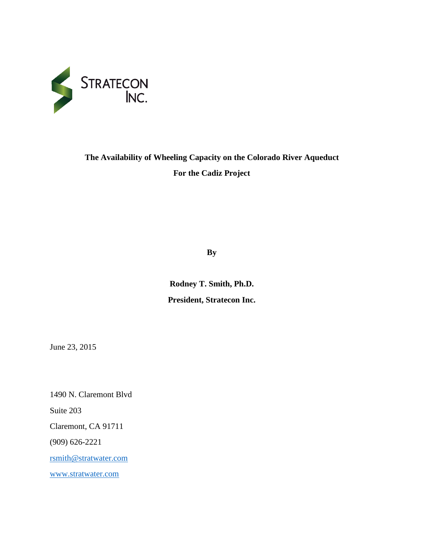

# **The Availability of Wheeling Capacity on the Colorado River Aqueduct For the Cadiz Project**

**By**

**Rodney T. Smith, Ph.D. President, Stratecon Inc.**

June 23, 2015

1490 N. Claremont Blvd Suite 203 Claremont, CA 91711 (909) 626-2221 [rsmith@stratwater.com](mailto:rsmith@stratwater.com) [www.stratwater.com](http://www.stratwater.com/)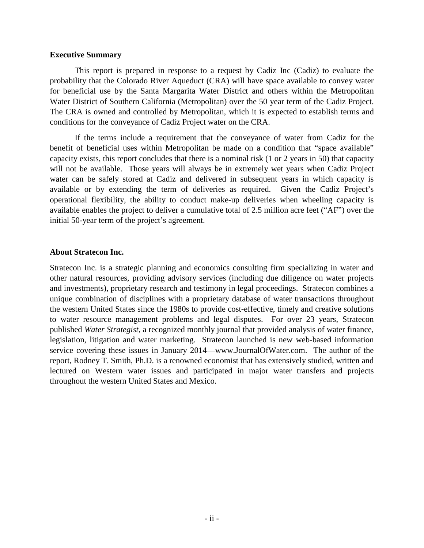#### <span id="page-1-0"></span>**Executive Summary**

This report is prepared in response to a request by Cadiz Inc (Cadiz) to evaluate the probability that the Colorado River Aqueduct (CRA) will have space available to convey water for beneficial use by the Santa Margarita Water District and others within the Metropolitan Water District of Southern California (Metropolitan) over the 50 year term of the Cadiz Project. The CRA is owned and controlled by Metropolitan, which it is expected to establish terms and conditions for the conveyance of Cadiz Project water on the CRA.

If the terms include a requirement that the conveyance of water from Cadiz for the benefit of beneficial uses within Metropolitan be made on a condition that "space available" capacity exists, this report concludes that there is a nominal risk (1 or 2 years in 50) that capacity will not be available. Those years will always be in extremely wet years when Cadiz Project water can be safely stored at Cadiz and delivered in subsequent years in which capacity is available or by extending the term of deliveries as required. Given the Cadiz Project's operational flexibility, the ability to conduct make-up deliveries when wheeling capacity is available enables the project to deliver a cumulative total of 2.5 million acre feet ("AF") over the initial 50-year term of the project's agreement.

# **About Stratecon Inc.**

Stratecon Inc. is a strategic planning and economics consulting firm specializing in water and other natural resources, providing advisory services (including due diligence on water projects and investments), proprietary research and testimony in legal proceedings. Stratecon combines a unique combination of disciplines with a proprietary database of water transactions throughout the western United States since the 1980s to provide cost-effective, timely and creative solutions to water resource management problems and legal disputes. For over 23 years, Stratecon published *Water Strategist*, a recognized monthly journal that provided analysis of water finance, legislation, litigation and water marketing. Stratecon launched is new web-based information service covering these issues in January 2014—www.JournalOfWater.com. The author of the report, Rodney T. Smith, Ph.D. is a renowned economist that has extensively studied, written and lectured on Western water issues and participated in major water transfers and projects throughout the western United States and Mexico.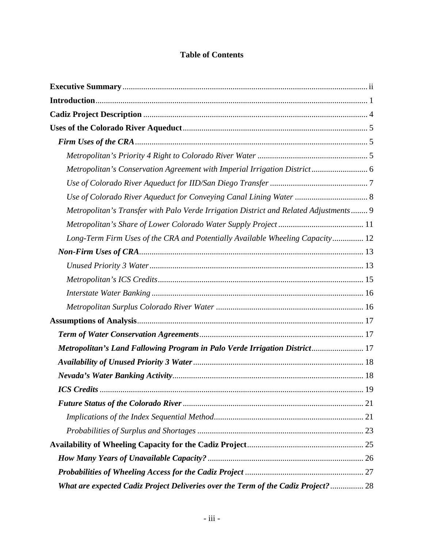# **Table of Contents**

| Metropolitan's Conservation Agreement with Imperial Irrigation District 6             |    |
|---------------------------------------------------------------------------------------|----|
|                                                                                       |    |
|                                                                                       |    |
| Metropolitan's Transfer with Palo Verde Irrigation District and Related Adjustments 9 |    |
|                                                                                       |    |
| Long-Term Firm Uses of the CRA and Potentially Available Wheeling Capacity 12         |    |
|                                                                                       |    |
|                                                                                       |    |
|                                                                                       |    |
|                                                                                       |    |
|                                                                                       |    |
|                                                                                       |    |
|                                                                                       |    |
| Metropolitan's Land Fallowing Program in Palo Verde Irrigation District 17            |    |
|                                                                                       |    |
|                                                                                       |    |
| <b>ICS</b> Credits.                                                                   | 19 |
|                                                                                       |    |
|                                                                                       |    |
|                                                                                       |    |
|                                                                                       |    |
|                                                                                       |    |
|                                                                                       |    |
| What are expected Cadiz Project Deliveries over the Term of the Cadiz Project?  28    |    |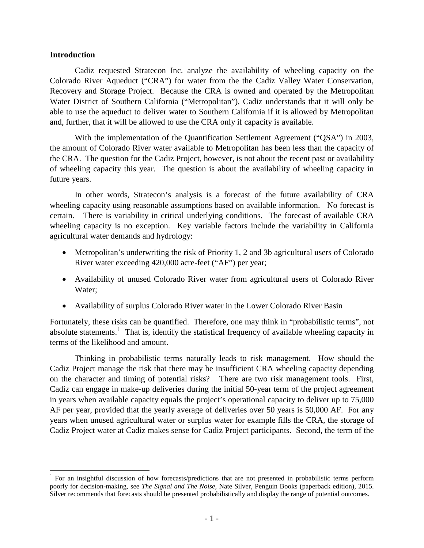## <span id="page-4-0"></span>**Introduction**

Cadiz requested Stratecon Inc. analyze the availability of wheeling capacity on the Colorado River Aqueduct ("CRA") for water from the the Cadiz Valley Water Conservation, Recovery and Storage Project. Because the CRA is owned and operated by the Metropolitan Water District of Southern California ("Metropolitan"), Cadiz understands that it will only be able to use the aqueduct to deliver water to Southern California if it is allowed by Metropolitan and, further, that it will be allowed to use the CRA only if capacity is available.

With the implementation of the Quantification Settlement Agreement ("QSA") in 2003, the amount of Colorado River water available to Metropolitan has been less than the capacity of the CRA. The question for the Cadiz Project, however, is not about the recent past or availability of wheeling capacity this year. The question is about the availability of wheeling capacity in future years.

In other words, Stratecon's analysis is a forecast of the future availability of CRA wheeling capacity using reasonable assumptions based on available information. No forecast is certain. There is variability in critical underlying conditions. The forecast of available CRA wheeling capacity is no exception. Key variable factors include the variability in California agricultural water demands and hydrology:

- Metropolitan's underwriting the risk of Priority 1, 2 and 3b agricultural users of Colorado River water exceeding 420,000 acre-feet ("AF") per year;
- Availability of unused Colorado River water from agricultural users of Colorado River Water;
- Availability of surplus Colorado River water in the Lower Colorado River Basin

Fortunately, these risks can be quantified. Therefore, one may think in "probabilistic terms", not absolute statements.<sup>[1](#page-4-1)</sup> That is, identify the statistical frequency of available wheeling capacity in terms of the likelihood and amount.

Thinking in probabilistic terms naturally leads to risk management. How should the Cadiz Project manage the risk that there may be insufficient CRA wheeling capacity depending on the character and timing of potential risks? There are two risk management tools. First, Cadiz can engage in make-up deliveries during the initial 50-year term of the project agreement in years when available capacity equals the project's operational capacity to deliver up to 75,000 AF per year, provided that the yearly average of deliveries over 50 years is 50,000 AF. For any years when unused agricultural water or surplus water for example fills the CRA, the storage of Cadiz Project water at Cadiz makes sense for Cadiz Project participants. Second, the term of the

<span id="page-4-1"></span><sup>&</sup>lt;sup>1</sup> For an insightful discussion of how forecasts/predictions that are not presented in probabilistic terms perform poorly for decision-making, see *The Signal and The Noise*, Nate Silver, Penguin Books (paperback edition)*,* 2015. Silver recommends that forecasts should be presented probabilistically and display the range of potential outcomes.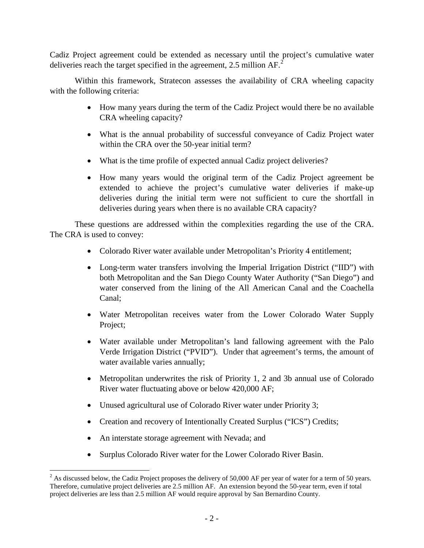Cadiz Project agreement could be extended as necessary until the project's cumulative water deliveries reach the target specified in the agreement, [2](#page-5-0).5 million  $AF^2$ .

Within this framework, Stratecon assesses the availability of CRA wheeling capacity with the following criteria:

- How many years during the term of the Cadiz Project would there be no available CRA wheeling capacity?
- What is the annual probability of successful conveyance of Cadiz Project water within the CRA over the 50-year initial term?
- What is the time profile of expected annual Cadiz project deliveries?
- How many years would the original term of the Cadiz Project agreement be extended to achieve the project's cumulative water deliveries if make-up deliveries during the initial term were not sufficient to cure the shortfall in deliveries during years when there is no available CRA capacity?

These questions are addressed within the complexities regarding the use of the CRA. The CRA is used to convey:

- Colorado River water available under Metropolitan's Priority 4 entitlement;
- Long-term water transfers involving the Imperial Irrigation District ("IID") with both Metropolitan and the San Diego County Water Authority ("San Diego") and water conserved from the lining of the All American Canal and the Coachella Canal;
- Water Metropolitan receives water from the Lower Colorado Water Supply Project;
- Water available under Metropolitan's land fallowing agreement with the Palo Verde Irrigation District ("PVID"). Under that agreement's terms, the amount of water available varies annually;
- Metropolitan underwrites the risk of Priority 1, 2 and 3b annual use of Colorado River water fluctuating above or below 420,000 AF;
- Unused agricultural use of Colorado River water under Priority 3;
- Creation and recovery of Intentionally Created Surplus ("ICS") Credits;
- An interstate storage agreement with Nevada; and
- Surplus Colorado River water for the Lower Colorado River Basin.

<span id="page-5-0"></span> $^{2}$  As discussed below, the Cadiz Project proposes the delivery of 50,000 AF per year of water for a term of 50 years. Therefore, cumulative project deliveries are 2.5 million AF. An extension beyond the 50-year term, even if total project deliveries are less than 2.5 million AF would require approval by San Bernardino County.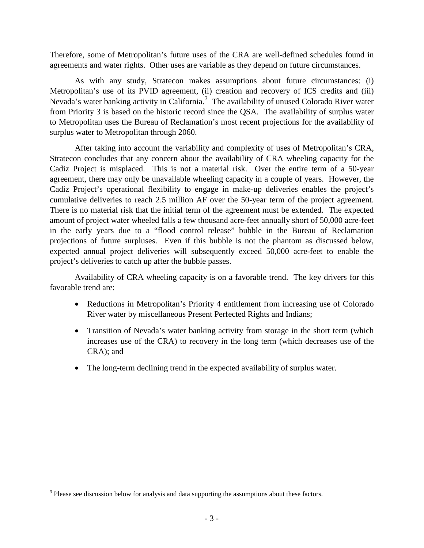Therefore, some of Metropolitan's future uses of the CRA are well-defined schedules found in agreements and water rights. Other uses are variable as they depend on future circumstances.

As with any study, Stratecon makes assumptions about future circumstances: (i) Metropolitan's use of its PVID agreement, (ii) creation and recovery of ICS credits and (iii) Nevada's water banking activity in California.<sup>[3](#page-6-0)</sup> The availability of unused Colorado River water from Priority 3 is based on the historic record since the QSA. The availability of surplus water to Metropolitan uses the Bureau of Reclamation's most recent projections for the availability of surplus water to Metropolitan through 2060.

After taking into account the variability and complexity of uses of Metropolitan's CRA, Stratecon concludes that any concern about the availability of CRA wheeling capacity for the Cadiz Project is misplaced. This is not a material risk. Over the entire term of a 50-year agreement, there may only be unavailable wheeling capacity in a couple of years. However, the Cadiz Project's operational flexibility to engage in make-up deliveries enables the project's cumulative deliveries to reach 2.5 million AF over the 50-year term of the project agreement. There is no material risk that the initial term of the agreement must be extended. The expected amount of project water wheeled falls a few thousand acre-feet annually short of 50,000 acre-feet in the early years due to a "flood control release" bubble in the Bureau of Reclamation projections of future surpluses. Even if this bubble is not the phantom as discussed below, expected annual project deliveries will subsequently exceed 50,000 acre-feet to enable the project's deliveries to catch up after the bubble passes.

Availability of CRA wheeling capacity is on a favorable trend. The key drivers for this favorable trend are:

- Reductions in Metropolitan's Priority 4 entitlement from increasing use of Colorado River water by miscellaneous Present Perfected Rights and Indians;
- Transition of Nevada's water banking activity from storage in the short term (which increases use of the CRA) to recovery in the long term (which decreases use of the CRA); and
- The long-term declining trend in the expected availability of surplus water.

<span id="page-6-0"></span><sup>&</sup>lt;sup>3</sup> Please see discussion below for analysis and data supporting the assumptions about these factors.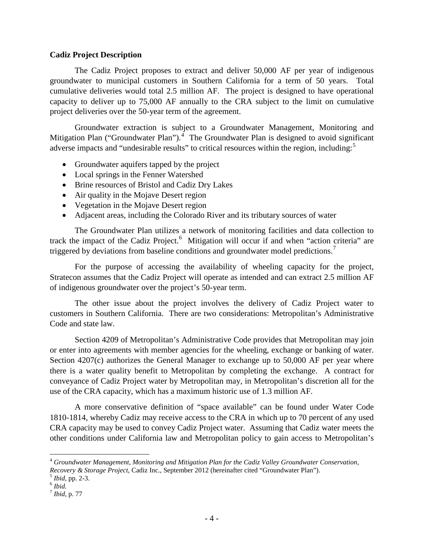# <span id="page-7-0"></span>**Cadiz Project Description**

The Cadiz Project proposes to extract and deliver 50,000 AF per year of indigenous groundwater to municipal customers in Southern California for a term of 50 years. Total cumulative deliveries would total 2.5 million AF. The project is designed to have operational capacity to deliver up to 75,000 AF annually to the CRA subject to the limit on cumulative project deliveries over the 50-year term of the agreement.

Groundwater extraction is subject to a Groundwater Management, Monitoring and Mitigation Plan ("Groundwater Plan").<sup>[4](#page-7-1)</sup> The Groundwater Plan is designed to avoid significant adverse impacts and "undesirable results" to critical resources within the region, including:<sup>[5](#page-7-2)</sup>

- Groundwater aquifers tapped by the project
- Local springs in the Fenner Watershed
- Brine resources of Bristol and Cadiz Dry Lakes
- Air quality in the Mojave Desert region
- Vegetation in the Mojave Desert region
- Adjacent areas, including the Colorado River and its tributary sources of water

The Groundwater Plan utilizes a network of monitoring facilities and data collection to track the impact of the Cadiz Project.<sup>[6](#page-7-3)</sup> Mitigation will occur if and when "action criteria" are triggered by deviations from baseline conditions and groundwater model predictions.<sup>[7](#page-7-4)</sup>

For the purpose of accessing the availability of wheeling capacity for the project, Stratecon assumes that the Cadiz Project will operate as intended and can extract 2.5 million AF of indigenous groundwater over the project's 50-year term.

The other issue about the project involves the delivery of Cadiz Project water to customers in Southern California. There are two considerations: Metropolitan's Administrative Code and state law.

Section 4209 of Metropolitan's Administrative Code provides that Metropolitan may join or enter into agreements with member agencies for the wheeling, exchange or banking of water. Section 4207(c) authorizes the General Manager to exchange up to 50,000 AF per year where there is a water quality benefit to Metropolitan by completing the exchange. A contract for conveyance of Cadiz Project water by Metropolitan may, in Metropolitan's discretion all for the use of the CRA capacity, which has a maximum historic use of 1.3 million AF.

A more conservative definition of "space available" can be found under Water Code 1810-1814, whereby Cadiz may receive access to the CRA in which up to 70 percent of any used CRA capacity may be used to convey Cadiz Project water. Assuming that Cadiz water meets the other conditions under California law and Metropolitan policy to gain access to Metropolitan's

<span id="page-7-1"></span> <sup>4</sup> *Groundwater Management, Monitoring and Mitigation Plan for the Cadiz Valley Groundwater Conservation, Recovery & Storage Project, Cadiz Inc., September 2012 (hereinafter cited "Groundwater Plan").* <sup>5</sup> *Ibid.* pp. 2-3. <sup>6</sup> *Ibid.* 

<span id="page-7-3"></span><span id="page-7-2"></span>

<span id="page-7-4"></span><sup>7</sup> *Ibid*, p. 77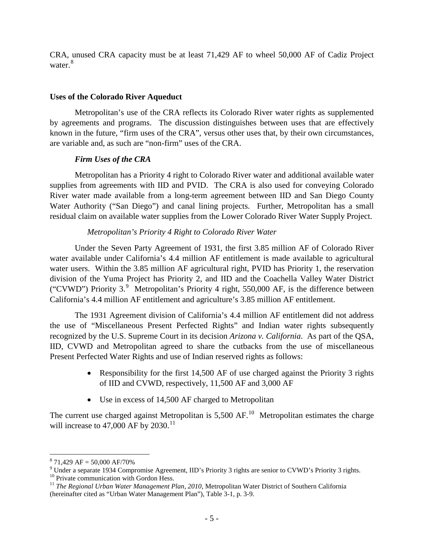CRA, unused CRA capacity must be at least 71,429 AF to wheel 50,000 AF of Cadiz Project water.<sup>[8](#page-8-3)</sup>

# <span id="page-8-0"></span>**Uses of the Colorado River Aqueduct**

Metropolitan's use of the CRA reflects its Colorado River water rights as supplemented by agreements and programs. The discussion distinguishes between uses that are effectively known in the future, "firm uses of the CRA", versus other uses that, by their own circumstances, are variable and, as such are "non-firm" uses of the CRA.

# *Firm Uses of the CRA*

<span id="page-8-1"></span>Metropolitan has a Priority 4 right to Colorado River water and additional available water supplies from agreements with IID and PVID. The CRA is also used for conveying Colorado River water made available from a long-term agreement between IID and San Diego County Water Authority ("San Diego") and canal lining projects. Further, Metropolitan has a small residual claim on available water supplies from the Lower Colorado River Water Supply Project.

# *Metropolitan's Priority 4 Right to Colorado River Water*

<span id="page-8-2"></span>Under the Seven Party Agreement of 1931, the first 3.85 million AF of Colorado River water available under California's 4.4 million AF entitlement is made available to agricultural water users. Within the 3.85 million AF agricultural right, PVID has Priority 1, the reservation division of the Yuma Project has Priority 2, and IID and the Coachella Valley Water District ("CVWD") Priority 3. $9$  Metropolitan's Priority 4 right, 550,000 AF, is the difference between California's 4.4 million AF entitlement and agriculture's 3.85 million AF entitlement.

The 1931 Agreement division of California's 4.4 million AF entitlement did not address the use of "Miscellaneous Present Perfected Rights" and Indian water rights subsequently recognized by the U.S. Supreme Court in its decision *Arizona v. California*. As part of the QSA, IID, CVWD and Metropolitan agreed to share the cutbacks from the use of miscellaneous Present Perfected Water Rights and use of Indian reserved rights as follows:

- Responsibility for the first 14,500 AF of use charged against the Priority 3 rights of IID and CVWD, respectively, 11,500 AF and 3,000 AF
- Use in excess of 14,500 AF charged to Metropolitan

The current use charged against Metropolitan is  $5,500$  AF.<sup>[10](#page-8-5)</sup> Metropolitan estimates the charge will increase to  $47,000$  AF by  $2030$ .<sup>[11](#page-8-6)</sup>

<span id="page-8-3"></span> $^8$  71,429 AF = 50,000 AF/70%<br><sup>9</sup> Under a separate 1934 Compromise Agreement, IID's Priority 3 rights are senior to CVWD's Priority 3 rights.

<span id="page-8-6"></span><span id="page-8-5"></span>

<span id="page-8-4"></span><sup>&</sup>lt;sup>10</sup> Private communication with Gordon Hess.<br><sup>11</sup> *The Regional Urban Water Management Plan, 2010*, Metropolitan Water District of Southern California (hereinafter cited as "Urban Water Management Plan"), Table 3-1, p. 3-9.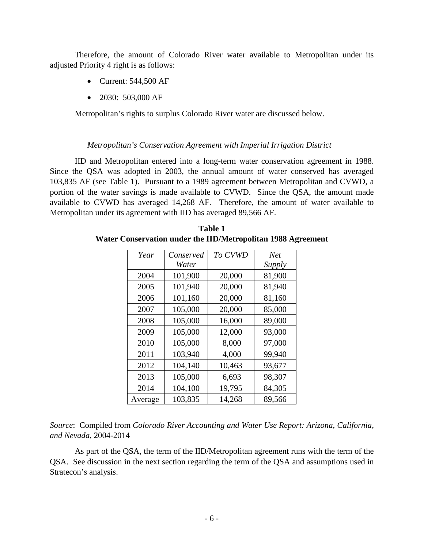Therefore, the amount of Colorado River water available to Metropolitan under its adjusted Priority 4 right is as follows:

- Current: 544,500 AF
- 2030: 503,000 AF

Metropolitan's rights to surplus Colorado River water are discussed below.

# *Metropolitan's Conservation Agreement with Imperial Irrigation District*

<span id="page-9-0"></span>IID and Metropolitan entered into a long-term water conservation agreement in 1988. Since the QSA was adopted in 2003, the annual amount of water conserved has averaged 103,835 AF (see Table 1). Pursuant to a 1989 agreement between Metropolitan and CVWD, a portion of the water savings is made available to CVWD. Since the QSA, the amount made available to CVWD has averaged 14,268 AF. Therefore, the amount of water available to Metropolitan under its agreement with IID has averaged 89,566 AF.

| Year    | Conserved | To CVWD | <b>Net</b> |
|---------|-----------|---------|------------|
|         | Water     |         | Supply     |
| 2004    | 101,900   | 20,000  | 81,900     |
| 2005    | 101,940   | 20,000  | 81,940     |
| 2006    | 101,160   | 20,000  | 81,160     |
| 2007    | 105,000   | 20,000  | 85,000     |
| 2008    | 105,000   | 16,000  | 89,000     |
| 2009    | 105,000   | 12,000  | 93,000     |
| 2010    | 105,000   | 8,000   | 97,000     |
| 2011    | 103,940   | 4,000   | 99,940     |
| 2012    | 104,140   | 10,463  | 93,677     |
| 2013    | 105,000   | 6,693   | 98,307     |
| 2014    | 104,100   | 19,795  | 84,305     |
| Average | 103,835   | 14,268  | 89,566     |

**Table 1 Water Conservation under the IID/Metropolitan 1988 Agreement**

*Source*: Compiled from *Colorado River Accounting and Water Use Report: Arizona, California, and Nevada*, 2004-2014

As part of the QSA, the term of the IID/Metropolitan agreement runs with the term of the QSA. See discussion in the next section regarding the term of the QSA and assumptions used in Stratecon's analysis.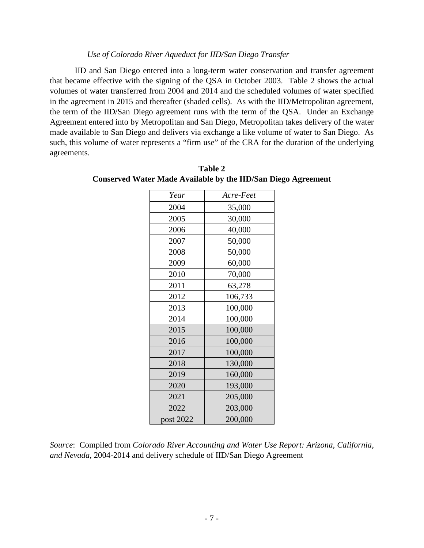# *Use of Colorado River Aqueduct for IID/San Diego Transfer*

<span id="page-10-0"></span>IID and San Diego entered into a long-term water conservation and transfer agreement that became effective with the signing of the QSA in October 2003. Table 2 shows the actual volumes of water transferred from 2004 and 2014 and the scheduled volumes of water specified in the agreement in 2015 and thereafter (shaded cells). As with the IID/Metropolitan agreement, the term of the IID/San Diego agreement runs with the term of the QSA. Under an Exchange Agreement entered into by Metropolitan and San Diego, Metropolitan takes delivery of the water made available to San Diego and delivers via exchange a like volume of water to San Diego. As such, this volume of water represents a "firm use" of the CRA for the duration of the underlying agreements.

| Year      | Acre-Feet |
|-----------|-----------|
| 2004      | 35,000    |
| 2005      | 30,000    |
| 2006      | 40,000    |
| 2007      | 50,000    |
| 2008      | 50,000    |
| 2009      | 60,000    |
| 2010      | 70,000    |
| 2011      | 63,278    |
| 2012      | 106,733   |
| 2013      | 100,000   |
| 2014      | 100,000   |
| 2015      | 100,000   |
| 2016      | 100,000   |
| 2017      | 100,000   |
| 2018      | 130,000   |
| 2019      | 160,000   |
| 2020      | 193,000   |
| 2021      | 205,000   |
| 2022      | 203,000   |
| post 2022 | 200,000   |
|           |           |

**Table 2 Conserved Water Made Available by the IID/San Diego Agreement**

*Source*: Compiled from *Colorado River Accounting and Water Use Report: Arizona, California, and Nevada*, 2004-2014 and delivery schedule of IID/San Diego Agreement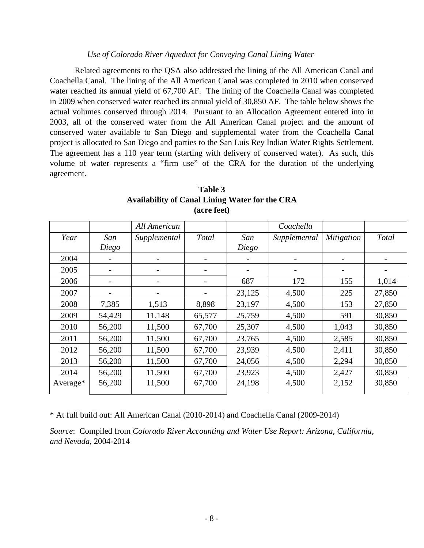# *Use of Colorado River Aqueduct for Conveying Canal Lining Water*

<span id="page-11-0"></span>Related agreements to the QSA also addressed the lining of the All American Canal and Coachella Canal. The lining of the All American Canal was completed in 2010 when conserved water reached its annual yield of 67,700 AF. The lining of the Coachella Canal was completed in 2009 when conserved water reached its annual yield of 30,850 AF. The table below shows the actual volumes conserved through 2014. Pursuant to an Allocation Agreement entered into in 2003, all of the conserved water from the All American Canal project and the amount of conserved water available to San Diego and supplemental water from the Coachella Canal project is allocated to San Diego and parties to the San Luis Rey Indian Water Rights Settlement. The agreement has a 110 year term (starting with delivery of conserved water). As such, this volume of water represents a "firm use" of the CRA for the duration of the underlying agreement.

|          |                          | All American |        |        | Coachella    |                   |        |
|----------|--------------------------|--------------|--------|--------|--------------|-------------------|--------|
| Year     | San                      | Supplemental | Total  | San    | Supplemental | <i>Mitigation</i> | Total  |
|          | Diego                    |              |        | Diego  |              |                   |        |
| 2004     |                          |              |        |        |              |                   |        |
| 2005     |                          |              |        |        |              |                   |        |
| 2006     | $\overline{\phantom{a}}$ |              |        | 687    | 172          | 155               | 1,014  |
| 2007     |                          |              |        | 23,125 | 4,500        | 225               | 27,850 |
| 2008     | 7,385                    | 1,513        | 8,898  | 23,197 | 4,500        | 153               | 27,850 |
| 2009     | 54,429                   | 11,148       | 65,577 | 25,759 | 4,500        | 591               | 30,850 |
| 2010     | 56,200                   | 11,500       | 67,700 | 25,307 | 4,500        | 1,043             | 30,850 |
| 2011     | 56,200                   | 11,500       | 67,700 | 23,765 | 4,500        | 2,585             | 30,850 |
| 2012     | 56,200                   | 11,500       | 67,700 | 23,939 | 4,500        | 2,411             | 30,850 |
| 2013     | 56,200                   | 11,500       | 67,700 | 24,056 | 4,500        | 2,294             | 30,850 |
| 2014     | 56,200                   | 11,500       | 67,700 | 23,923 | 4,500        | 2,427             | 30,850 |
| Average* | 56,200                   | 11,500       | 67,700 | 24,198 | 4,500        | 2,152             | 30,850 |

# **Table 3 Availability of Canal Lining Water for the CRA (acre feet)**

\* At full build out: All American Canal (2010-2014) and Coachella Canal (2009-2014)

*Source*: Compiled from *Colorado River Accounting and Water Use Report: Arizona, California, and Nevada*, 2004-2014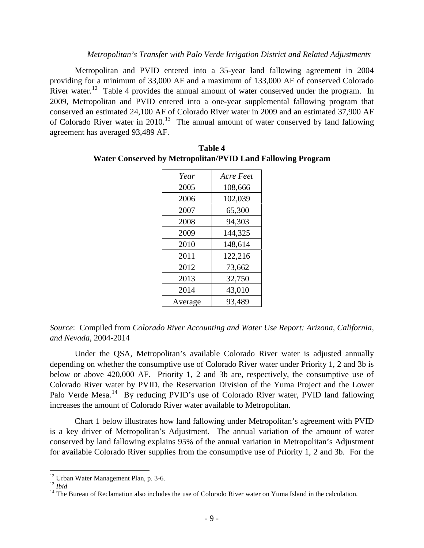#### *Metropolitan's Transfer with Palo Verde Irrigation District and Related Adjustments*

<span id="page-12-0"></span>Metropolitan and PVID entered into a 35-year land fallowing agreement in 2004 providing for a minimum of 33,000 AF and a maximum of 133,000 AF of conserved Colorado River water.<sup>[12](#page-12-1)</sup> Table 4 provides the annual amount of water conserved under the program. In 2009, Metropolitan and PVID entered into a one-year supplemental fallowing program that conserved an estimated 24,100 AF of Colorado River water in 2009 and an estimated 37,900 AF of Colorado River water in 2010.<sup>[13](#page-12-2)</sup> The annual amount of water conserved by land fallowing agreement has averaged 93,489 AF.

| Year    | Acre Feet |
|---------|-----------|
| 2005    | 108,666   |
| 2006    | 102,039   |
| 2007    | 65,300    |
| 2008    | 94,303    |
| 2009    | 144,325   |
| 2010    | 148,614   |
| 2011    | 122,216   |
| 2012    | 73,662    |
| 2013    | 32,750    |
| 2014    | 43,010    |
| Average | 93,489    |

**Table 4 Water Conserved by Metropolitan/PVID Land Fallowing Program**

*Source*: Compiled from *Colorado River Accounting and Water Use Report: Arizona, California, and Nevada*, 2004-2014

Under the QSA, Metropolitan's available Colorado River water is adjusted annually depending on whether the consumptive use of Colorado River water under Priority 1, 2 and 3b is below or above 420,000 AF. Priority 1, 2 and 3b are, respectively, the consumptive use of Colorado River water by PVID, the Reservation Division of the Yuma Project and the Lower Palo Verde Mesa.<sup>[14](#page-12-3)</sup> By reducing PVID's use of Colorado River water, PVID land fallowing increases the amount of Colorado River water available to Metropolitan.

Chart 1 below illustrates how land fallowing under Metropolitan's agreement with PVID is a key driver of Metropolitan's Adjustment. The annual variation of the amount of water conserved by land fallowing explains 95% of the annual variation in Metropolitan's Adjustment for available Colorado River supplies from the consumptive use of Priority 1, 2 and 3b. For the

<span id="page-12-3"></span><span id="page-12-2"></span>

<span id="page-12-1"></span><sup>&</sup>lt;sup>12</sup> Urban Water Management Plan, p. 3-6.<br><sup>13</sup> *Ibid* 14 The Bureau of Reclamation also includes the use of Colorado River water on Yuma Island in the calculation.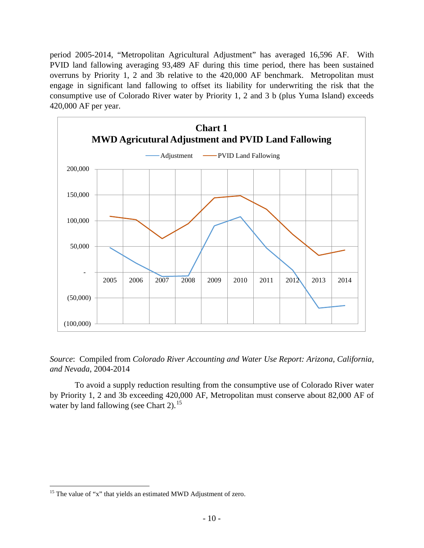period 2005-2014, "Metropolitan Agricultural Adjustment" has averaged 16,596 AF. With PVID land fallowing averaging 93,489 AF during this time period, there has been sustained overruns by Priority 1, 2 and 3b relative to the 420,000 AF benchmark. Metropolitan must engage in significant land fallowing to offset its liability for underwriting the risk that the consumptive use of Colorado River water by Priority 1, 2 and 3 b (plus Yuma Island) exceeds 420,000 AF per year.



# *Source*: Compiled from *Colorado River Accounting and Water Use Report: Arizona, California, and Nevada*, 2004-2014

To avoid a supply reduction resulting from the consumptive use of Colorado River water by Priority 1, 2 and 3b exceeding 420,000 AF, Metropolitan must conserve about 82,000 AF of water by land fallowing (see Chart 2).<sup>15</sup>

<span id="page-13-0"></span><sup>&</sup>lt;sup>15</sup> The value of "x" that yields an estimated MWD Adjustment of zero.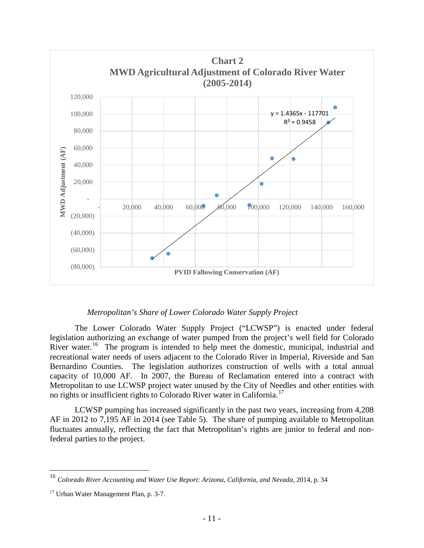

# *Metropolitan's Share of Lower Colorado Water Supply Project*

<span id="page-14-0"></span>The Lower Colorado Water Supply Project ("LCWSP") is enacted under federal legislation authorizing an exchange of water pumped from the project's well field for Colorado River water.<sup>16</sup> The program is intended to help meet the domestic, municipal, industrial and recreational water needs of users adjacent to the Colorado River in Imperial, Riverside and San Bernardino Counties. The legislation authorizes construction of wells with a total annual capacity of 10,000 AF. In 2007, the Bureau of Reclamation entered into a contract with Metropolitan to use LCWSP project water unused by the City of Needles and other entities with no rights or insufficient rights to Colorado River water in California.<sup>[17](#page-14-2)</sup>

LCWSP pumping has increased significantly in the past two years, increasing from 4,208 AF in 2012 to 7,195 AF in 2014 (see Table 5). The share of pumping available to Metropolitan fluctuates annually, reflecting the fact that Metropolitan's rights are junior to federal and nonfederal parties to the project.

<span id="page-14-1"></span> <sup>16</sup> *Colorado River Accounting and Water Use Report: Arizona, California, and Nevada*, 2014, p. 34

<span id="page-14-2"></span><sup>&</sup>lt;sup>17</sup> Urban Water Management Plan, p. 3-7.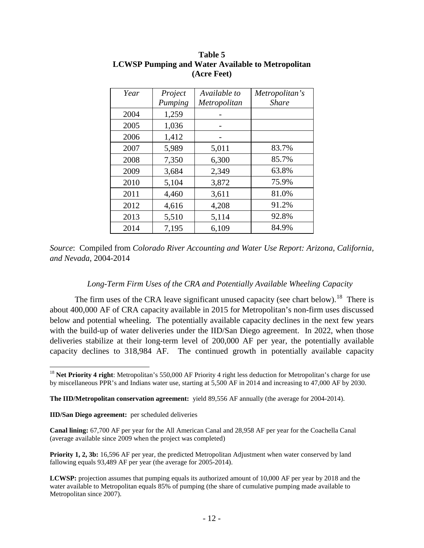| Year | Project | Available to | Metropolitan's |
|------|---------|--------------|----------------|
|      | Pumping | Metropolitan | <b>Share</b>   |
| 2004 | 1,259   |              |                |
| 2005 | 1,036   |              |                |
| 2006 | 1,412   |              |                |
| 2007 | 5,989   | 5,011        | 83.7%          |
| 2008 | 7,350   | 6,300        | 85.7%          |
| 2009 | 3,684   | 2,349        | 63.8%          |
| 2010 | 5,104   | 3,872        | 75.9%          |
| 2011 | 4,460   | 3,611        | 81.0%          |
| 2012 | 4,616   | 4,208        | 91.2%          |
| 2013 | 5,510   | 5,114        | 92.8%          |
| 2014 | 7,195   | 6,109        | 84.9%          |

# **Table 5 LCWSP Pumping and Water Available to Metropolitan (Acre Feet)**

# *Long-Term Firm Uses of the CRA and Potentially Available Wheeling Capacity*

<span id="page-15-0"></span>The firm uses of the CRA leave significant unused capacity (see chart below).<sup>18</sup> There is about 400,000 AF of CRA capacity available in 2015 for Metropolitan's non-firm uses discussed below and potential wheeling. The potentially available capacity declines in the next few years with the build-up of water deliveries under the IID/San Diego agreement. In 2022, when those deliveries stabilize at their long-term level of 200,000 AF per year, the potentially available capacity declines to 318,984 AF. The continued growth in potentially available capacity

**The IID/Metropolitan conservation agreement:** yield 89,556 AF annually (the average for 2004-2014).

*Source*: Compiled from *Colorado River Accounting and Water Use Report: Arizona, California, and Nevada*, 2004-2014

<span id="page-15-1"></span><sup>&</sup>lt;sup>18</sup> Net Priority 4 right: Metropolitan's 550,000 AF Priority 4 right less deduction for Metropolitan's charge for use by miscellaneous PPR's and Indians water use, starting at 5,500 AF in 2014 and increasing to 47,000 AF by 2030.

**IID/San Diego agreement:** per scheduled deliveries

**Canal lining:** 67,700 AF per year for the All American Canal and 28,958 AF per year for the Coachella Canal (average available since 2009 when the project was completed)

**Priority 1, 2, 3b:** 16,596 AF per year, the predicted Metropolitan Adjustment when water conserved by land fallowing equals 93,489 AF per year (the average for 2005-2014).

**LCWSP:** projection assumes that pumping equals its authorized amount of 10,000 AF per year by 2018 and the water available to Metropolitan equals 85% of pumping (the share of cumulative pumping made available to Metropolitan since 2007).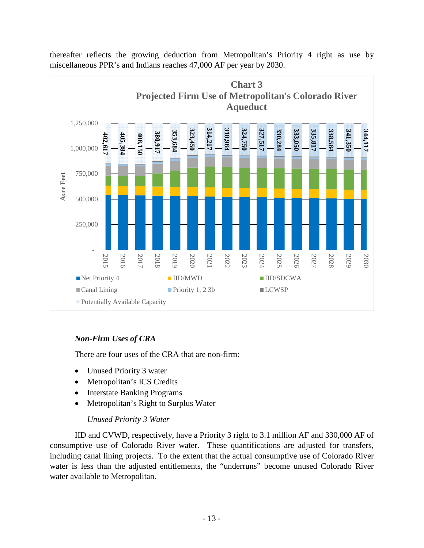

thereafter reflects the growing deduction from Metropolitan's Priority 4 right as use by miscellaneous PPR's and Indians reaches 47,000 AF per year by 2030.

# <span id="page-16-0"></span>*Non-Firm Uses of CRA*

There are four uses of the CRA that are non-firm:

- Unused Priority 3 water
- Metropolitan's ICS Credits
- Interstate Banking Programs
- Metropolitan's Right to Surplus Water

# *Unused Priority 3 Water*

<span id="page-16-1"></span>IID and CVWD, respectively, have a Priority 3 right to 3.1 million AF and 330,000 AF of consumptive use of Colorado River water. These quantifications are adjusted for transfers, including canal lining projects. To the extent that the actual consumptive use of Colorado River water is less than the adjusted entitlements, the "underruns" become unused Colorado River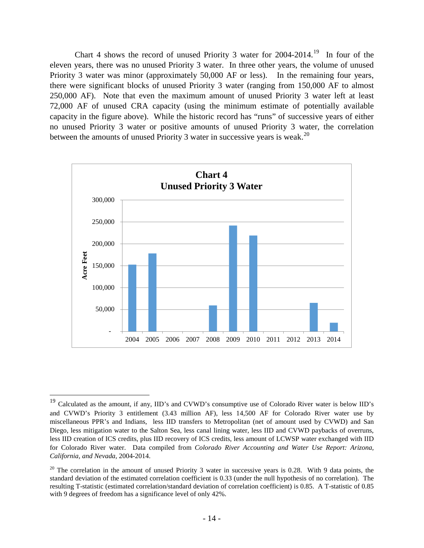Chart 4 shows the record of unused Priority 3 water for  $2004-2014$ .<sup>[19](#page-17-0)</sup> In four of the eleven years, there was no unused Priority 3 water. In three other years, the volume of unused Priority 3 water was minor (approximately 50,000 AF or less). In the remaining four years, there were significant blocks of unused Priority 3 water (ranging from 150,000 AF to almost 250,000 AF). Note that even the maximum amount of unused Priority 3 water left at least 72,000 AF of unused CRA capacity (using the minimum estimate of potentially available capacity in the figure above). While the historic record has "runs" of successive years of either no unused Priority 3 water or positive amounts of unused Priority 3 water, the correlation between the amounts of unused Priority 3 water in successive years is weak.<sup>[20](#page-17-1)</sup>



<span id="page-17-0"></span> <sup>19</sup> Calculated as the amount, if any, IID's and CVWD's consumptive use of Colorado River water is below IID's and CVWD's Priority 3 entitlement (3.43 million AF), less 14,500 AF for Colorado River water use by miscellaneous PPR's and Indians, less IID transfers to Metropolitan (net of amount used by CVWD) and San Diego, less mitigation water to the Salton Sea, less canal lining water, less IID and CVWD paybacks of overruns, less IID creation of ICS credits, plus IID recovery of ICS credits, less amount of LCWSP water exchanged with IID for Colorado River water. Data compiled from *Colorado River Accounting and Water Use Report: Arizona, California, and Nevada*, 2004-2014.

<span id="page-17-1"></span> $20$  The correlation in the amount of unused Priority 3 water in successive years is 0.28. With 9 data points, the standard deviation of the estimated correlation coefficient is 0.33 (under the null hypothesis of no correlation). The resulting T-statistic (estimated correlation/standard deviation of correlation coefficient) is 0.85. A T-statistic of 0.85 with 9 degrees of freedom has a significance level of only 42%.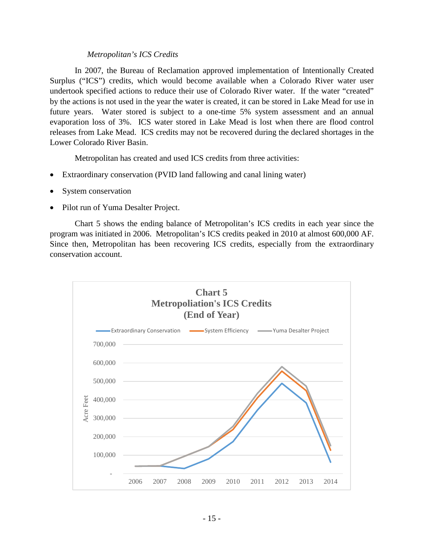# *Metropolitan's ICS Credits*

<span id="page-18-0"></span>In 2007, the Bureau of Reclamation approved implementation of Intentionally Created Surplus ("ICS") credits, which would become available when a Colorado River water user undertook specified actions to reduce their use of Colorado River water. If the water "created" by the actions is not used in the year the water is created, it can be stored in Lake Mead for use in future years. Water stored is subject to a one-time 5% system assessment and an annual evaporation loss of 3%. ICS water stored in Lake Mead is lost when there are flood control releases from Lake Mead. ICS credits may not be recovered during the declared shortages in the Lower Colorado River Basin.

Metropolitan has created and used ICS credits from three activities:

- Extraordinary conservation (PVID land fallowing and canal lining water)
- System conservation
- Pilot run of Yuma Desalter Project.

Chart 5 shows the ending balance of Metropolitan's ICS credits in each year since the program was initiated in 2006. Metropolitan's ICS credits peaked in 2010 at almost 600,000 AF. Since then, Metropolitan has been recovering ICS credits, especially from the extraordinary conservation account.

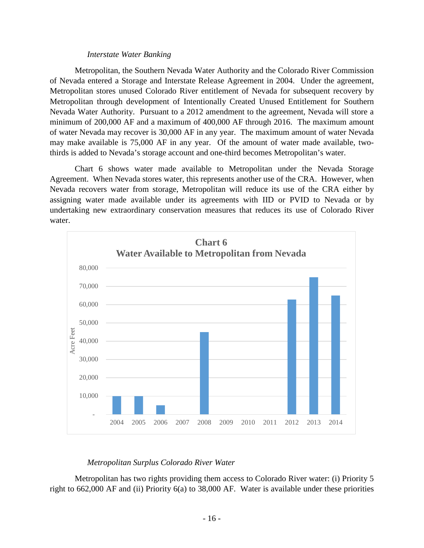#### *Interstate Water Banking*

<span id="page-19-0"></span>Metropolitan, the Southern Nevada Water Authority and the Colorado River Commission of Nevada entered a Storage and Interstate Release Agreement in 2004. Under the agreement, Metropolitan stores unused Colorado River entitlement of Nevada for subsequent recovery by Metropolitan through development of Intentionally Created Unused Entitlement for Southern Nevada Water Authority. Pursuant to a 2012 amendment to the agreement, Nevada will store a minimum of 200,000 AF and a maximum of 400,000 AF through 2016. The maximum amount of water Nevada may recover is 30,000 AF in any year. The maximum amount of water Nevada may make available is 75,000 AF in any year. Of the amount of water made available, twothirds is added to Nevada's storage account and one-third becomes Metropolitan's water.

Chart 6 shows water made available to Metropolitan under the Nevada Storage Agreement. When Nevada stores water, this represents another use of the CRA. However, when Nevada recovers water from storage, Metropolitan will reduce its use of the CRA either by assigning water made available under its agreements with IID or PVID to Nevada or by undertaking new extraordinary conservation measures that reduces its use of Colorado River water.



# *Metropolitan Surplus Colorado River Water*

<span id="page-19-1"></span>Metropolitan has two rights providing them access to Colorado River water: (i) Priority 5 right to 662,000 AF and (ii) Priority 6(a) to 38,000 AF. Water is available under these priorities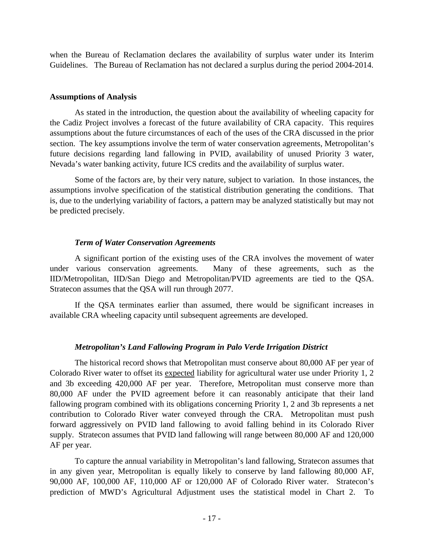when the Bureau of Reclamation declares the availability of surplus water under its Interim Guidelines. The Bureau of Reclamation has not declared a surplus during the period 2004-2014.

#### <span id="page-20-0"></span>**Assumptions of Analysis**

As stated in the introduction, the question about the availability of wheeling capacity for the Cadiz Project involves a forecast of the future availability of CRA capacity. This requires assumptions about the future circumstances of each of the uses of the CRA discussed in the prior section. The key assumptions involve the term of water conservation agreements, Metropolitan's future decisions regarding land fallowing in PVID, availability of unused Priority 3 water, Nevada's water banking activity, future ICS credits and the availability of surplus water.

Some of the factors are, by their very nature, subject to variation. In those instances, the assumptions involve specification of the statistical distribution generating the conditions. That is, due to the underlying variability of factors, a pattern may be analyzed statistically but may not be predicted precisely.

# *Term of Water Conservation Agreements*

<span id="page-20-1"></span>A significant portion of the existing uses of the CRA involves the movement of water under various conservation agreements. Many of these agreements, such as the IID/Metropolitan, IID/San Diego and Metropolitan/PVID agreements are tied to the QSA. Stratecon assumes that the QSA will run through 2077.

If the QSA terminates earlier than assumed, there would be significant increases in available CRA wheeling capacity until subsequent agreements are developed.

# *Metropolitan's Land Fallowing Program in Palo Verde Irrigation District*

<span id="page-20-2"></span>The historical record shows that Metropolitan must conserve about 80,000 AF per year of Colorado River water to offset its expected liability for agricultural water use under Priority 1, 2 and 3b exceeding 420,000 AF per year. Therefore, Metropolitan must conserve more than 80,000 AF under the PVID agreement before it can reasonably anticipate that their land fallowing program combined with its obligations concerning Priority 1, 2 and 3b represents a net contribution to Colorado River water conveyed through the CRA. Metropolitan must push forward aggressively on PVID land fallowing to avoid falling behind in its Colorado River supply. Stratecon assumes that PVID land fallowing will range between 80,000 AF and 120,000 AF per year.

To capture the annual variability in Metropolitan's land fallowing, Stratecon assumes that in any given year, Metropolitan is equally likely to conserve by land fallowing 80,000 AF, 90,000 AF, 100,000 AF, 110,000 AF or 120,000 AF of Colorado River water. Stratecon's prediction of MWD's Agricultural Adjustment uses the statistical model in Chart 2. To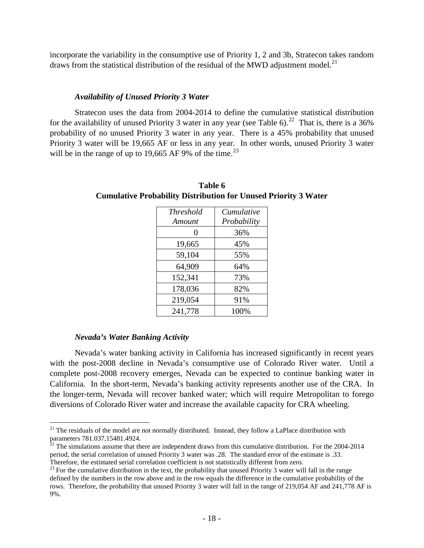incorporate the variability in the consumptive use of Priority 1, 2 and 3b, Stratecon takes random draws from the statistical distribution of the residual of the MWD adjustment model.<sup>21</sup>

#### *Availability of Unused Priority 3 Water*

<span id="page-21-0"></span>Stratecon uses the data from 2004-2014 to define the cumulative statistical distribution for the availability of unused Priority 3 water in any year (see Table 6).<sup>[22](#page-21-3)</sup> That is, there is a 36% probability of no unused Priority 3 water in any year. There is a 45% probability that unused Priority 3 water will be 19,665 AF or less in any year. In other words, unused Priority 3 water will be in the range of up to 19,665 AF 9% of the time.<sup>[23](#page-21-4)</sup>

| <i>Threshold</i><br>Amount | Cumulative<br>Probability |
|----------------------------|---------------------------|
| 0                          | 36%                       |
| 19,665                     | 45%                       |
| 59,104                     | 55%                       |
| 64,909                     | 64%                       |
| 152,341                    | 73%                       |
| 178,036                    | 82%                       |
| 219,054                    | 91%                       |
| 241,778                    | 100%                      |

**Table 6 Cumulative Probability Distribution for Unused Priority 3 Water**

#### *Nevada's Water Banking Activity*

<span id="page-21-1"></span>Nevada's water banking activity in California has increased significantly in recent years with the post-2008 decline in Nevada's consumptive use of Colorado River water. Until a complete post-2008 recovery emerges, Nevada can be expected to continue banking water in California. In the short-term, Nevada's banking activity represents another use of the CRA. In the longer-term, Nevada will recover banked water; which will require Metropolitan to forego diversions of Colorado River water and increase the available capacity for CRA wheeling.

<span id="page-21-2"></span> $21$  The residuals of the model are not normally distributed. Instead, they follow a LaPlace distribution with parameters 781.037,15481.4924.<br><sup>22</sup> The simulations assume that there are independent draws from this cumulative distribution. For the 2004-2014

<span id="page-21-3"></span>period, the serial correlation of unused Priority 3 water was .28. The standard error of the estimate is .33. Therefore, the estimated serial correlation coefficient is not statistically different from zero.

<span id="page-21-4"></span> $23$  For the cumulative distribution in the text, the probability that unused Priority 3 water will fall in the range defined by the numbers in the row above and in the row equals the difference in the cumulative probability of the rows. Therefore, the probability that unused Priority 3 water will fall in the range of 219,054 AF and 241,778 AF is 9%.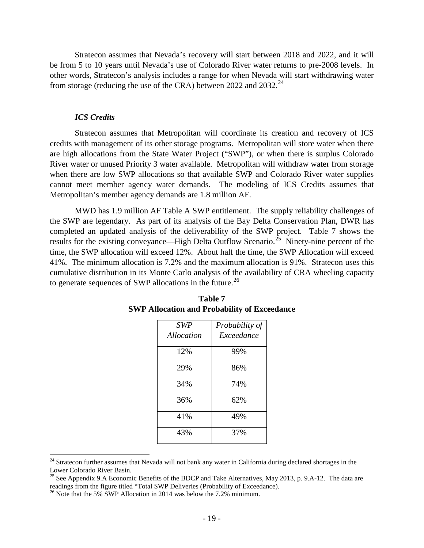Stratecon assumes that Nevada's recovery will start between 2018 and 2022, and it will be from 5 to 10 years until Nevada's use of Colorado River water returns to pre-2008 levels. In other words, Stratecon's analysis includes a range for when Nevada will start withdrawing water from storage (reducing the use of the CRA) between 2022 and 2032.<sup>24</sup>

#### *ICS Credits*

<span id="page-22-0"></span>Stratecon assumes that Metropolitan will coordinate its creation and recovery of ICS credits with management of its other storage programs. Metropolitan will store water when there are high allocations from the State Water Project ("SWP"), or when there is surplus Colorado River water or unused Priority 3 water available. Metropolitan will withdraw water from storage when there are low SWP allocations so that available SWP and Colorado River water supplies cannot meet member agency water demands. The modeling of ICS Credits assumes that Metropolitan's member agency demands are 1.8 million AF.

MWD has 1.9 million AF Table A SWP entitlement. The supply reliability challenges of the SWP are legendary. As part of its analysis of the Bay Delta Conservation Plan, DWR has completed an updated analysis of the deliverability of the SWP project. Table 7 shows the results for the existing conveyance—High Delta Outflow Scenario.<sup>[25](#page-22-2)</sup> Ninety-nine percent of the time, the SWP allocation will exceed 12%. About half the time, the SWP Allocation will exceed 41%. The minimum allocation is 7.2% and the maximum allocation is 91%. Stratecon uses this cumulative distribution in its Monte Carlo analysis of the availability of CRA wheeling capacity to generate sequences of SWP allocations in the future.<sup>26</sup>

| SWP        | Probability of |
|------------|----------------|
| Allocation | Exceedance     |
| 12%        | 99%            |
| 29%        | 86%            |
| 34%        | 74%            |
| 36%        | 62%            |
| 41%        | 49%            |
| 43%        | 37%            |

| Table 7                                             |
|-----------------------------------------------------|
| <b>SWP Allocation and Probability of Exceedance</b> |

<span id="page-22-1"></span><sup>&</sup>lt;sup>24</sup> Stratecon further assumes that Nevada will not bank any water in California during declared shortages in the Lower Colorado River Basin.

<span id="page-22-2"></span><sup>&</sup>lt;sup>25</sup> See Appendix 9.A Economic Benefits of the BDCP and Take Alternatives, May 2013, p. 9.A-12. The data are readings from the figure titled "Total SWP Deliveries (Probability of Exceedance).

<span id="page-22-3"></span> $^{26}$  Note that the 5% SWP Allocation in 2014 was below the 7.2% minimum.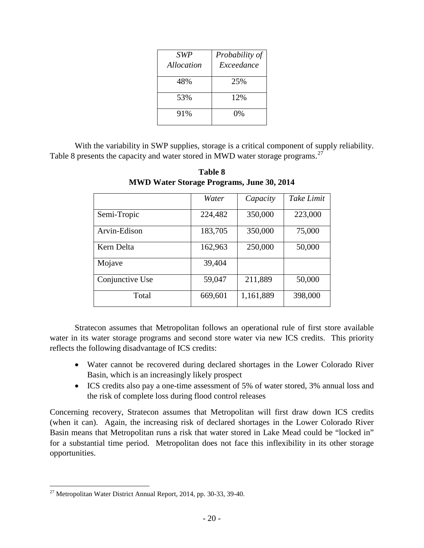| <b>SWP</b> | Probability of |
|------------|----------------|
| Allocation | Exceedance     |
| 48%        | 25%            |
| 53%        | 12%            |
| 91%        | 0%             |

With the variability in SWP supplies, storage is a critical component of supply reliability. Table 8 presents the capacity and water stored in MWD water storage programs.<sup>[27](#page-23-0)</sup>

|                 | Water   | Capacity  | Take Limit |
|-----------------|---------|-----------|------------|
| Semi-Tropic     | 224,482 | 350,000   | 223,000    |
| Arvin-Edison    | 183,705 | 350,000   | 75,000     |
| Kern Delta      | 162,963 | 250,000   | 50,000     |
| Mojave          | 39,404  |           |            |
| Conjunctive Use | 59,047  | 211,889   | 50,000     |
| Total           | 669,601 | 1,161,889 | 398,000    |

**Table 8 MWD Water Storage Programs, June 30, 2014**

Stratecon assumes that Metropolitan follows an operational rule of first store available water in its water storage programs and second store water via new ICS credits. This priority reflects the following disadvantage of ICS credits:

- Water cannot be recovered during declared shortages in the Lower Colorado River Basin, which is an increasingly likely prospect
- ICS credits also pay a one-time assessment of 5% of water stored, 3% annual loss and the risk of complete loss during flood control releases

Concerning recovery, Stratecon assumes that Metropolitan will first draw down ICS credits (when it can). Again, the increasing risk of declared shortages in the Lower Colorado River Basin means that Metropolitan runs a risk that water stored in Lake Mead could be "locked in" for a substantial time period. Metropolitan does not face this inflexibility in its other storage opportunities.

<span id="page-23-0"></span> $27$  Metropolitan Water District Annual Report, 2014, pp. 30-33, 39-40.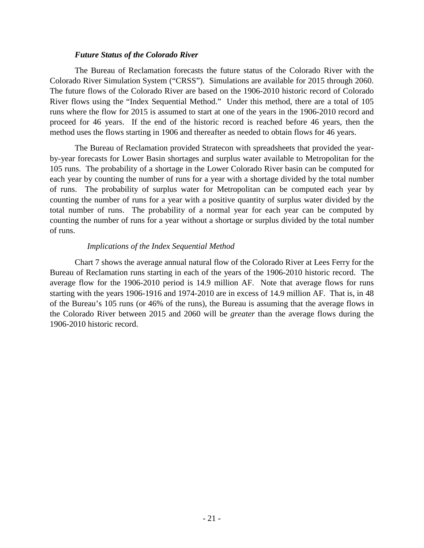## *Future Status of the Colorado River*

<span id="page-24-0"></span>The Bureau of Reclamation forecasts the future status of the Colorado River with the Colorado River Simulation System ("CRSS"). Simulations are available for 2015 through 2060. The future flows of the Colorado River are based on the 1906-2010 historic record of Colorado River flows using the "Index Sequential Method." Under this method, there are a total of 105 runs where the flow for 2015 is assumed to start at one of the years in the 1906-2010 record and proceed for 46 years. If the end of the historic record is reached before 46 years, then the method uses the flows starting in 1906 and thereafter as needed to obtain flows for 46 years.

The Bureau of Reclamation provided Stratecon with spreadsheets that provided the yearby-year forecasts for Lower Basin shortages and surplus water available to Metropolitan for the 105 runs. The probability of a shortage in the Lower Colorado River basin can be computed for each year by counting the number of runs for a year with a shortage divided by the total number of runs. The probability of surplus water for Metropolitan can be computed each year by counting the number of runs for a year with a positive quantity of surplus water divided by the total number of runs. The probability of a normal year for each year can be computed by counting the number of runs for a year without a shortage or surplus divided by the total number of runs.

# *Implications of the Index Sequential Method*

<span id="page-24-1"></span>Chart 7 shows the average annual natural flow of the Colorado River at Lees Ferry for the Bureau of Reclamation runs starting in each of the years of the 1906-2010 historic record. The average flow for the 1906-2010 period is 14.9 million AF. Note that average flows for runs starting with the years 1906-1916 and 1974-2010 are in excess of 14.9 million AF. That is, in 48 of the Bureau's 105 runs (or 46% of the runs), the Bureau is assuming that the average flows in the Colorado River between 2015 and 2060 will be *greater* than the average flows during the 1906-2010 historic record.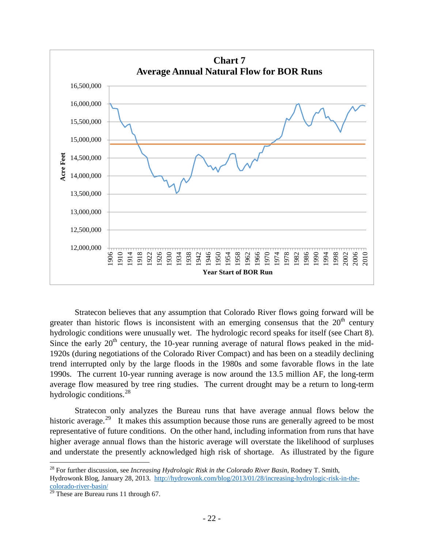

Stratecon believes that any assumption that Colorado River flows going forward will be greater than historic flows is inconsistent with an emerging consensus that the  $20<sup>th</sup>$  century hydrologic conditions were unusually wet. The hydrologic record speaks for itself (see Chart 8). Since the early  $20<sup>th</sup>$  century, the 10-year running average of natural flows peaked in the mid-1920s (during negotiations of the Colorado River Compact) and has been on a steadily declining trend interrupted only by the large floods in the 1980s and some favorable flows in the late 1990s. The current 10-year running average is now around the 13.5 million AF, the long-term average flow measured by tree ring studies. The current drought may be a return to long-term hydrologic conditions. $^{28}$ 

Stratecon only analyzes the Bureau runs that have average annual flows below the historic average.<sup>[29](#page-25-1)</sup> It makes this assumption because those runs are generally agreed to be most representative of future conditions. On the other hand, including information from runs that have higher average annual flows than the historic average will overstate the likelihood of surpluses and understate the presently acknowledged high risk of shortage. As illustrated by the figure

<span id="page-25-0"></span> <sup>28</sup> For further discussion, see *Increasing Hydrologic Risk in the Colorado River Basin*, Rodney T. Smith, Hydrowonk Blog, January 28, 2013. [http://hydrowonk.com/blog/2013/01/28/increasing-hydrologic-risk-in-the](http://hydrowonk.com/blog/2013/01/28/increasing-hydrologic-risk-in-the-colorado-river-basin/)[colorado-river-basin/](http://hydrowonk.com/blog/2013/01/28/increasing-hydrologic-risk-in-the-colorado-river-basin/)

<span id="page-25-1"></span> $29$  These are Bureau runs 11 through 67.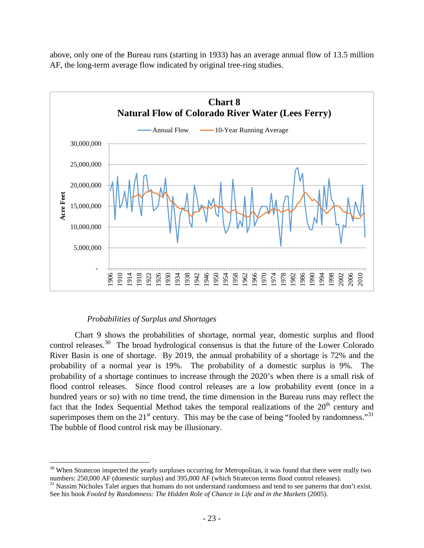

above, only one of the Bureau runs (starting in 1933) has an average annual flow of 13.5 million AF, the long-term average flow indicated by original tree-ring studies.

# *Probabilities of Surplus and Shortages*

<span id="page-26-0"></span>Chart 9 shows the probabilities of shortage, normal year, domestic surplus and flood control releases.<sup>30</sup> The broad hydrological consensus is that the future of the Lower Colorado River Basin is one of shortage. By 2019, the annual probability of a shortage is 72% and the probability of a normal year is 19%. The probability of a domestic surplus is 9%. The probability of a shortage continues to increase through the 2020's when there is a small risk of flood control releases. Since flood control releases are a low probability event (once in a hundred years or so) with no time trend, the time dimension in the Bureau runs may reflect the fact that the Index Sequential Method takes the temporal realizations of the  $20<sup>th</sup>$  century and superimposes them on the  $21^{st}$  century. This may be the case of being "fooled by randomness."<sup>[31](#page-26-2)</sup> The bubble of flood control risk may be illusionary.

<span id="page-26-1"></span> $30$  When Stratecon inspected the yearly surpluses occurring for Metropolitan, it was found that there were really two numbers: 250,000 AF (domestic surplus) and 395,000 AF (which Stratecon terms flood control releases).<br><sup>31</sup> Nassim Nicholes Talet argues that humans do not understand randomness and tend to see patterns that don't exist.

<span id="page-26-2"></span>See his book *Fooled by Randomness: The Hidden Role of Chance in Life and in the Markets* (2005).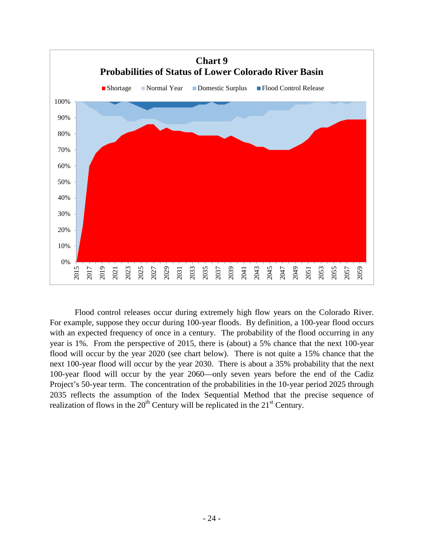

Flood control releases occur during extremely high flow years on the Colorado River. For example, suppose they occur during 100-year floods. By definition, a 100-year flood occurs with an expected frequency of once in a century. The probability of the flood occurring in any year is 1%. From the perspective of 2015, there is (about) a 5% chance that the next 100-year flood will occur by the year 2020 (see chart below). There is not quite a 15% chance that the next 100-year flood will occur by the year 2030. There is about a 35% probability that the next 100-year flood will occur by the year 2060—only seven years before the end of the Cadiz Project's 50-year term. The concentration of the probabilities in the 10-year period 2025 through 2035 reflects the assumption of the Index Sequential Method that the precise sequence of realization of flows in the  $20<sup>th</sup>$  Century will be replicated in the  $21<sup>st</sup>$  Century.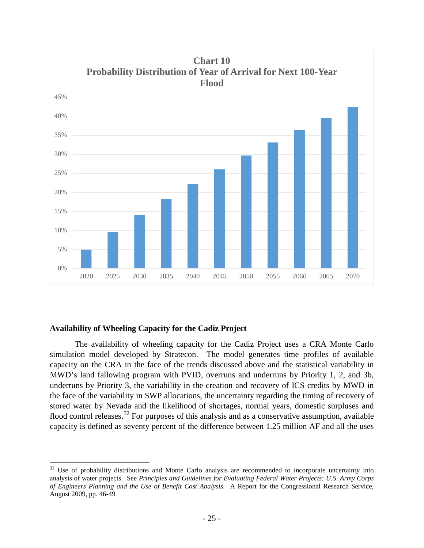

# <span id="page-28-0"></span>**Availability of Wheeling Capacity for the Cadiz Project**

The availability of wheeling capacity for the Cadiz Project uses a CRA Monte Carlo simulation model developed by Stratecon. The model generates time profiles of available capacity on the CRA in the face of the trends discussed above and the statistical variability in MWD's land fallowing program with PVID, overruns and underruns by Priority 1, 2, and 3b, underruns by Priority 3, the variability in the creation and recovery of ICS credits by MWD in the face of the variability in SWP allocations, the uncertainty regarding the timing of recovery of stored water by Nevada and the likelihood of shortages, normal years, domestic surpluses and flood control releases.<sup>[32](#page-28-1)</sup> For purposes of this analysis and as a conservative assumption, available capacity is defined as seventy percent of the difference between 1.25 million AF and all the uses

<span id="page-28-1"></span><sup>&</sup>lt;sup>32</sup> Use of probability distributions and Monte Carlo analysis are recommended to incorporate uncertainty into analysis of water projects. See *Principles and Guidelines for Evaluating Federal Water Projects: U.S. Army Corps of Engineers Planning and the Use of Benefit Cost Analysis*. A Report for the Congressional Research Service, August 2009, pp. 46-49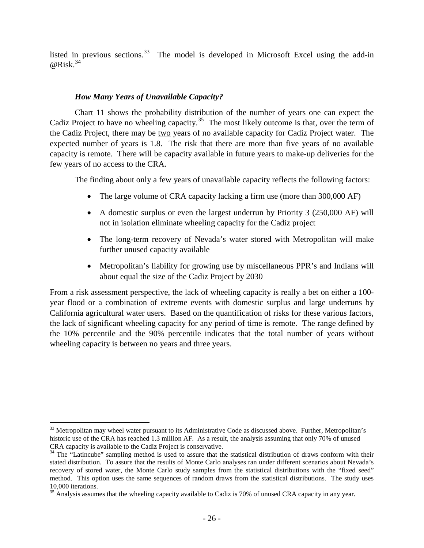listed in previous sections.<sup>[33](#page-29-1)</sup> The model is developed in Microsoft Excel using the add-in  $@Risk.<sup>34</sup>$  $@Risk.<sup>34</sup>$  $@Risk.<sup>34</sup>$ 

# *How Many Years of Unavailable Capacity?*

<span id="page-29-0"></span>Chart 11 shows the probability distribution of the number of years one can expect the Cadiz Project to have no wheeling capacity.<sup>[35](#page-29-3)</sup> The most likely outcome is that, over the term of the Cadiz Project, there may be two years of no available capacity for Cadiz Project water. The expected number of years is 1.8. The risk that there are more than five years of no available capacity is remote. There will be capacity available in future years to make-up deliveries for the few years of no access to the CRA.

The finding about only a few years of unavailable capacity reflects the following factors:

- The large volume of CRA capacity lacking a firm use (more than 300,000 AF)
- A domestic surplus or even the largest underrun by Priority 3 (250,000 AF) will not in isolation eliminate wheeling capacity for the Cadiz project
- The long-term recovery of Nevada's water stored with Metropolitan will make further unused capacity available
- Metropolitan's liability for growing use by miscellaneous PPR's and Indians will about equal the size of the Cadiz Project by 2030

From a risk assessment perspective, the lack of wheeling capacity is really a bet on either a 100 year flood or a combination of extreme events with domestic surplus and large underruns by California agricultural water users. Based on the quantification of risks for these various factors, the lack of significant wheeling capacity for any period of time is remote. The range defined by the 10% percentile and the 90% percentile indicates that the total number of years without wheeling capacity is between no years and three years.

<span id="page-29-1"></span><sup>&</sup>lt;sup>33</sup> Metropolitan may wheel water pursuant to its Administrative Code as discussed above. Further, Metropolitan's historic use of the CRA has reached 1.3 million AF. As a result, the analysis assuming that only 70% of unused CRA capacity is available to the Cadiz Project is conservative.

<span id="page-29-2"></span><sup>&</sup>lt;sup>34</sup> The "Latincube" sampling method is used to assure that the statistical distribution of draws conform with their stated distribution. To assure that the results of Monte Carlo analyses ran under different scenarios about Nevada's recovery of stored water, the Monte Carlo study samples from the statistical distributions with the "fixed seed" method. This option uses the same sequences of random draws from the statistical distributions. The study uses 10,000 iterations.

<span id="page-29-3"></span><sup>&</sup>lt;sup>35</sup> Analysis assumes that the wheeling capacity available to Cadiz is 70% of unused CRA capacity in any year.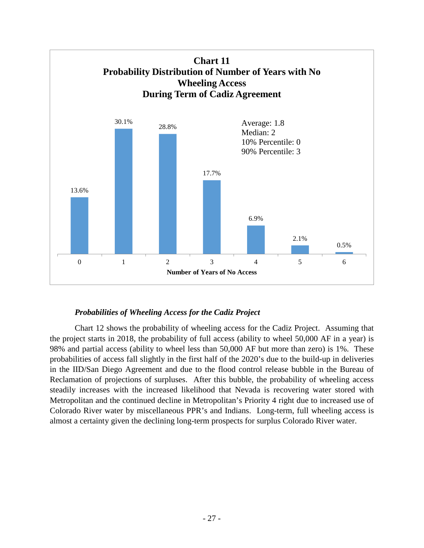

# *Probabilities of Wheeling Access for the Cadiz Project*

<span id="page-30-0"></span>Chart 12 shows the probability of wheeling access for the Cadiz Project. Assuming that the project starts in 2018, the probability of full access (ability to wheel 50,000 AF in a year) is 98% and partial access (ability to wheel less than 50,000 AF but more than zero) is 1%. These probabilities of access fall slightly in the first half of the 2020's due to the build-up in deliveries in the IID/San Diego Agreement and due to the flood control release bubble in the Bureau of Reclamation of projections of surpluses. After this bubble, the probability of wheeling access steadily increases with the increased likelihood that Nevada is recovering water stored with Metropolitan and the continued decline in Metropolitan's Priority 4 right due to increased use of Colorado River water by miscellaneous PPR's and Indians. Long-term, full wheeling access is almost a certainty given the declining long-term prospects for surplus Colorado River water.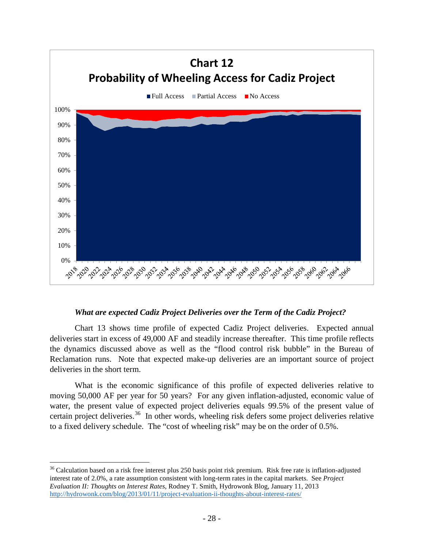

# *What are expected Cadiz Project Deliveries over the Term of the Cadiz Project?*

<span id="page-31-0"></span>Chart 13 shows time profile of expected Cadiz Project deliveries. Expected annual deliveries start in excess of 49,000 AF and steadily increase thereafter. This time profile reflects the dynamics discussed above as well as the "flood control risk bubble" in the Bureau of Reclamation runs. Note that expected make-up deliveries are an important source of project deliveries in the short term.

What is the economic significance of this profile of expected deliveries relative to moving 50,000 AF per year for 50 years? For any given inflation-adjusted, economic value of water, the present value of expected project deliveries equals 99.5% of the present value of certain project deliveries.<sup>[36](#page-31-1)</sup> In other words, wheeling risk defers some project deliveries relative to a fixed delivery schedule. The "cost of wheeling risk" may be on the order of 0.5%.

<span id="page-31-1"></span> $36$  Calculation based on a risk free interest plus 250 basis point risk premium. Risk free rate is inflation-adjusted interest rate of 2.0%, a rate assumption consistent with long-term rates in the capital markets. See *Project Evaluation II: Thoughts on Interest Rates*, Rodney T. Smith, Hydrowonk Blog, January 11, 2013 <http://hydrowonk.com/blog/2013/01/11/project-evaluation-ii-thoughts-about-interest-rates/>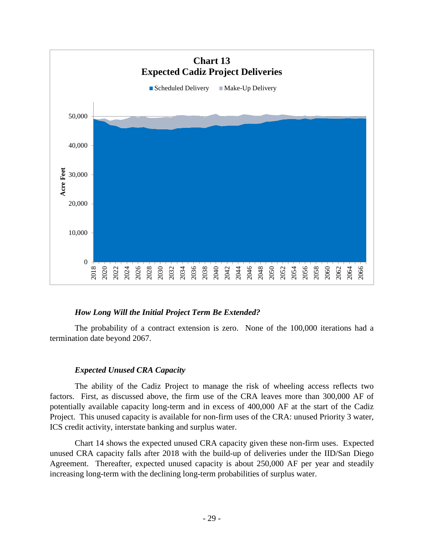

# *How Long Will the Initial Project Term Be Extended?*

<span id="page-32-0"></span>The probability of a contract extension is zero. None of the 100,000 iterations had a termination date beyond 2067.

#### *Expected Unused CRA Capacity*

<span id="page-32-1"></span>The ability of the Cadiz Project to manage the risk of wheeling access reflects two factors. First, as discussed above, the firm use of the CRA leaves more than 300,000 AF of potentially available capacity long-term and in excess of 400,000 AF at the start of the Cadiz Project. This unused capacity is available for non-firm uses of the CRA: unused Priority 3 water, ICS credit activity, interstate banking and surplus water.

Chart 14 shows the expected unused CRA capacity given these non-firm uses. Expected unused CRA capacity falls after 2018 with the build-up of deliveries under the IID/San Diego Agreement. Thereafter, expected unused capacity is about 250,000 AF per year and steadily increasing long-term with the declining long-term probabilities of surplus water.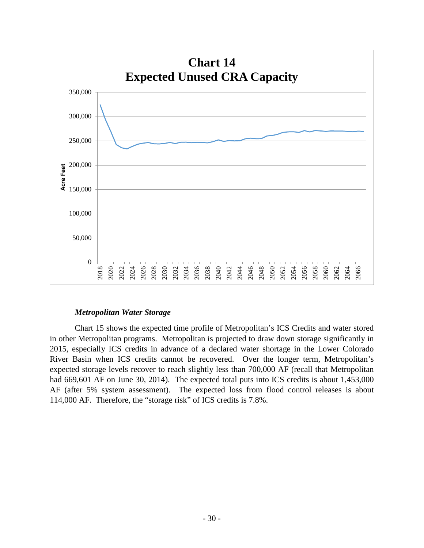

# *Metropolitan Water Storage*

<span id="page-33-0"></span>Chart 15 shows the expected time profile of Metropolitan's ICS Credits and water stored in other Metropolitan programs. Metropolitan is projected to draw down storage significantly in 2015, especially ICS credits in advance of a declared water shortage in the Lower Colorado River Basin when ICS credits cannot be recovered. Over the longer term, Metropolitan's expected storage levels recover to reach slightly less than 700,000 AF (recall that Metropolitan had 669,601 AF on June 30, 2014). The expected total puts into ICS credits is about 1,453,000 AF (after 5% system assessment). The expected loss from flood control releases is about 114,000 AF. Therefore, the "storage risk" of ICS credits is 7.8%.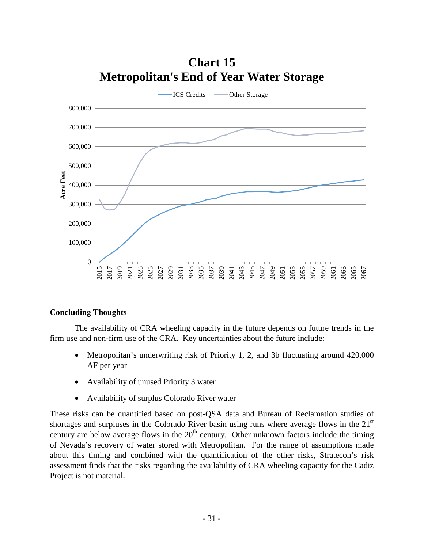

# <span id="page-34-0"></span>**Concluding Thoughts**

The availability of CRA wheeling capacity in the future depends on future trends in the firm use and non-firm use of the CRA. Key uncertainties about the future include:

- Metropolitan's underwriting risk of Priority 1, 2, and 3b fluctuating around 420,000 AF per year
- Availability of unused Priority 3 water
- Availability of surplus Colorado River water

These risks can be quantified based on post-QSA data and Bureau of Reclamation studies of shortages and surpluses in the Colorado River basin using runs where average flows in the 21<sup>st</sup> century are below average flows in the  $20<sup>th</sup>$  century. Other unknown factors include the timing of Nevada's recovery of water stored with Metropolitan. For the range of assumptions made about this timing and combined with the quantification of the other risks, Stratecon's risk assessment finds that the risks regarding the availability of CRA wheeling capacity for the Cadiz Project is not material.